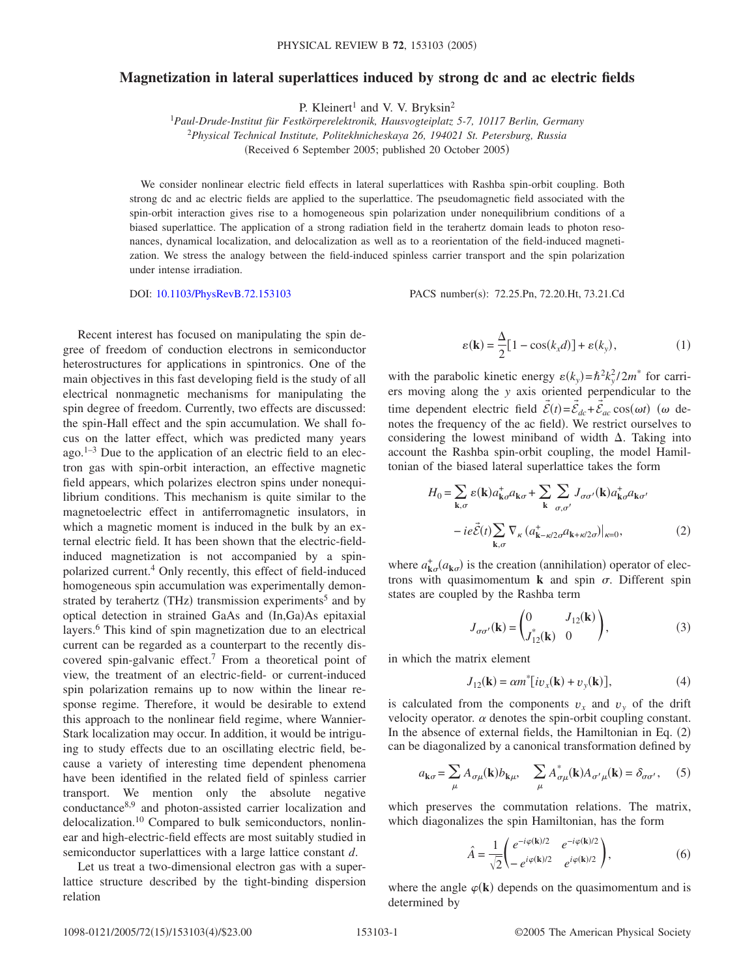## **Magnetization in lateral superlattices induced by strong dc and ac electric fields**

P. Kleinert<sup>1</sup> and V. V. Bryksin<sup>2</sup>

1 *Paul-Drude-Institut für Festkörperelektronik, Hausvogteiplatz 5-7, 10117 Berlin, Germany* <sup>2</sup>*Physical Technical Institute, Politekhnicheskaya 26, 194021 St. Petersburg, Russia* (Received 6 September 2005; published 20 October 2005)

We consider nonlinear electric field effects in lateral superlattices with Rashba spin-orbit coupling. Both strong dc and ac electric fields are applied to the superlattice. The pseudomagnetic field associated with the spin-orbit interaction gives rise to a homogeneous spin polarization under nonequilibrium conditions of a biased superlattice. The application of a strong radiation field in the terahertz domain leads to photon resonances, dynamical localization, and delocalization as well as to a reorientation of the field-induced magnetization. We stress the analogy between the field-induced spinless carrier transport and the spin polarization under intense irradiation.

DOI: [10.1103/PhysRevB.72.153103](http://dx.doi.org/10.1103/PhysRevB.72.153103)

PACS number(s): 72.25.Pn, 72.20.Ht, 73.21.Cd

Recent interest has focused on manipulating the spin degree of freedom of conduction electrons in semiconductor heterostructures for applications in spintronics. One of the main objectives in this fast developing field is the study of all electrical nonmagnetic mechanisms for manipulating the spin degree of freedom. Currently, two effects are discussed: the spin-Hall effect and the spin accumulation. We shall focus on the latter effect, which was predicted many years ago. $1-3$  Due to the application of an electric field to an electron gas with spin-orbit interaction, an effective magnetic field appears, which polarizes electron spins under nonequilibrium conditions. This mechanism is quite similar to the magnetoelectric effect in antiferromagnetic insulators, in which a magnetic moment is induced in the bulk by an external electric field. It has been shown that the electric-fieldinduced magnetization is not accompanied by a spinpolarized current.4 Only recently, this effect of field-induced homogeneous spin accumulation was experimentally demonstrated by terahertz (THz) transmission experiments<sup>5</sup> and by optical detection in strained GaAs and (In,Ga)As epitaxial layers.<sup>6</sup> This kind of spin magnetization due to an electrical current can be regarded as a counterpart to the recently discovered spin-galvanic effect.7 From a theoretical point of view, the treatment of an electric-field- or current-induced spin polarization remains up to now within the linear response regime. Therefore, it would be desirable to extend this approach to the nonlinear field regime, where Wannier-Stark localization may occur. In addition, it would be intriguing to study effects due to an oscillating electric field, because a variety of interesting time dependent phenomena have been identified in the related field of spinless carrier transport. We mention only the absolute negative conductance8,9 and photon-assisted carrier localization and delocalization.<sup>10</sup> Compared to bulk semiconductors, nonlinear and high-electric-field effects are most suitably studied in semiconductor superlattices with a large lattice constant *d*.

Let us treat a two-dimensional electron gas with a superlattice structure described by the tight-binding dispersion relation

$$
\varepsilon(\mathbf{k}) = \frac{\Delta}{2} [1 - \cos(k_x d)] + \varepsilon(k_y), \tag{1}
$$

with the parabolic kinetic energy  $\varepsilon(k_y) = \hbar^2 k_y^2 / 2m^*$  for carriers moving along the *y* axis oriented perpendicular to the time dependent electric field  $\vec{\mathcal{E}}(t) = \vec{\mathcal{E}}_{dc} + \vec{\mathcal{E}}_{ac} \cos(\omega t)$  ( $\omega$  denotes the frequency of the ac field). We restrict ourselves to considering the lowest miniband of width  $\Delta$ . Taking into account the Rashba spin-orbit coupling, the model Hamiltonian of the biased lateral superlattice takes the form

$$
H_0 = \sum_{\mathbf{k},\sigma} \varepsilon(\mathbf{k}) a_{\mathbf{k}\sigma}^{\dagger} a_{\mathbf{k}\sigma} + \sum_{\mathbf{k}} \sum_{\sigma,\sigma'} J_{\sigma\sigma'}(\mathbf{k}) a_{\mathbf{k}\sigma}^{\dagger} a_{\mathbf{k}\sigma'} - i e \vec{\mathcal{E}}(t) \sum_{\mathbf{k},\sigma} \nabla_{\kappa} (a_{\mathbf{k}-\kappa/2\sigma}^{\dagger} a_{\mathbf{k}+\kappa/2\sigma})|_{\kappa=0},
$$
 (2)

where  $a^{\dagger}_{\mathbf{k}\sigma}(a_{\mathbf{k}\sigma})$  is the creation (annihilation) operator of electrons with quasimomentum  $\bf{k}$  and spin  $\sigma$ . Different spin states are coupled by the Rashba term

$$
J_{\sigma\sigma'}(\mathbf{k}) = \begin{pmatrix} 0 & J_{12}(\mathbf{k}) \\ J_{12}^*(\mathbf{k}) & 0 \end{pmatrix},
$$
 (3)

in which the matrix element

$$
J_{12}(\mathbf{k}) = \alpha m^* [iv_x(\mathbf{k}) + v_y(\mathbf{k})], \tag{4}
$$

is calculated from the components  $v_x$  and  $v_y$  of the drift velocity operator.  $\alpha$  denotes the spin-orbit coupling constant. In the absence of external fields, the Hamiltonian in Eq.  $(2)$ can be diagonalized by a canonical transformation defined by

$$
a_{\mathbf{k}\sigma} = \sum_{\mu} A_{\sigma\mu}(\mathbf{k}) b_{\mathbf{k}\mu}, \quad \sum_{\mu} A_{\sigma\mu}^*(\mathbf{k}) A_{\sigma'\mu}(\mathbf{k}) = \delta_{\sigma\sigma'}, \quad (5)
$$

which preserves the commutation relations. The matrix, which diagonalizes the spin Hamiltonian, has the form

$$
\hat{A} = \frac{1}{\sqrt{2}} \begin{pmatrix} e^{-i\varphi(\mathbf{k})/2} & e^{-i\varphi(\mathbf{k})/2} \\ -e^{i\varphi(\mathbf{k})/2} & e^{i\varphi(\mathbf{k})/2} \end{pmatrix},
$$
(6)

where the angle  $\varphi(\mathbf{k})$  depends on the quasimomentum and is determined by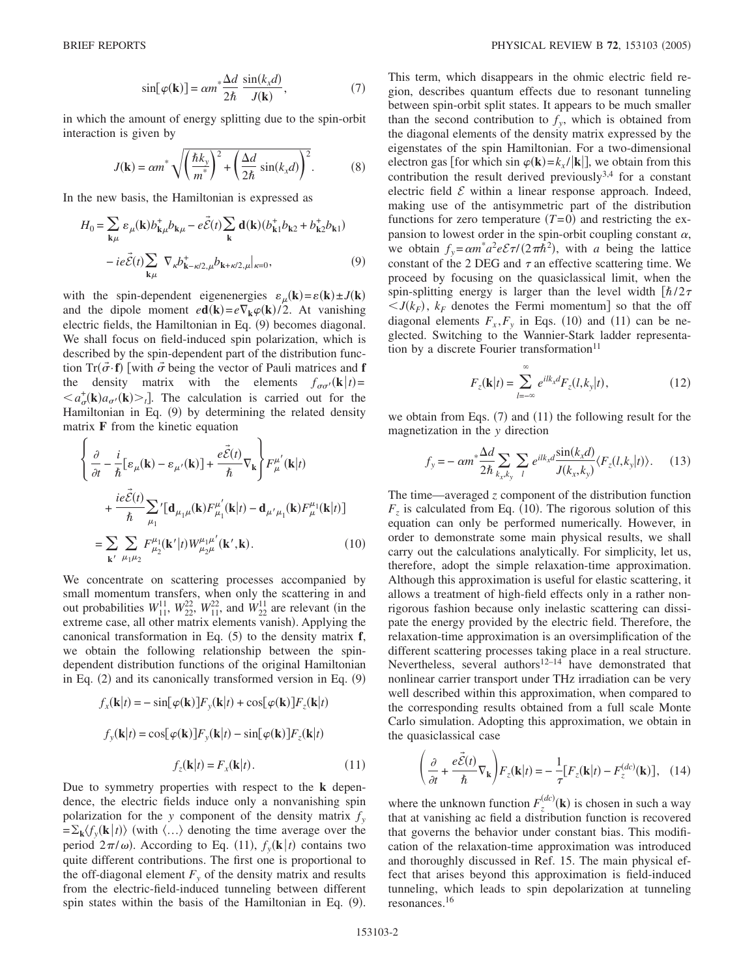$$
\sin[\varphi(\mathbf{k})] = \alpha m^* \frac{\Delta d}{2\hbar} \frac{\sin(k_x d)}{J(\mathbf{k})},\tag{7}
$$

in which the amount of energy splitting due to the spin-orbit interaction is given by

$$
J(\mathbf{k}) = \alpha m^* \sqrt{\left(\frac{\hbar k_y}{m^*}\right)^2 + \left(\frac{\Delta d}{2\hbar} \sin(k_x d)\right)^2}.
$$
 (8)

In the new basis, the Hamiltonian is expressed as

$$
H_0 = \sum_{\mathbf{k}\mu} \varepsilon_{\mu}(\mathbf{k}) b_{\mathbf{k}\mu}^+ b_{\mathbf{k}\mu} - e \vec{\mathcal{E}}(t) \sum_{\mathbf{k}} \mathbf{d}(\mathbf{k}) (b_{\mathbf{k}1}^+ b_{\mathbf{k}2} + b_{\mathbf{k}2}^+ b_{\mathbf{k}1})
$$

$$
- ie \vec{\mathcal{E}}(t) \sum_{\mathbf{k}\mu} \nabla_{\kappa} b_{\mathbf{k}-\kappa/2,\mu}^+ b_{\mathbf{k}+\kappa/2,\mu}|_{\kappa=0}, \tag{9}
$$

with the spin-dependent eigenenergies  $\varepsilon_{\mu}(\mathbf{k}) = \varepsilon(\mathbf{k}) \pm J(\mathbf{k})$ and the dipole moment  $e\mathbf{d}(\mathbf{k}) = e\nabla_{\mathbf{k}}\varphi(\mathbf{k})/2$ . At vanishing electric fields, the Hamiltonian in Eq. (9) becomes diagonal. We shall focus on field-induced spin polarization, which is described by the spin-dependent part of the distribution function  $Tr(\vec{\sigma} \cdot \mathbf{f})$  [with  $\vec{\sigma}$  being the vector of Pauli matrices and **f** the density matrix with the elements  $f_{\sigma\sigma'}(\mathbf{k}|t)$ =  $\langle a_{\sigma}^+(k)a_{\sigma'}(k)\rangle_t$ . The calculation is carried out for the Hamiltonian in Eq. (9) by determining the related density matrix **F** from the kinetic equation

$$
\begin{cases}\n\frac{\partial}{\partial t} - \frac{i}{\hbar} [\varepsilon_{\mu}(\mathbf{k}) - \varepsilon_{\mu'}(\mathbf{k})] + \frac{e\vec{\mathcal{E}}(t)}{\hbar} \nabla_{\mathbf{k}} \right\} F^{\mu'}_{\mu}(\mathbf{k}|t) \\
+ \frac{i e\vec{\mathcal{E}}(t)}{\hbar} \sum_{\mu_1} ' [\mathbf{d}_{\mu_1\mu}(\mathbf{k}) F^{\mu'}_{\mu_1}(\mathbf{k}|t) - \mathbf{d}_{\mu'\mu_1}(\mathbf{k}) F^{\mu_1}_{\mu}(\mathbf{k}|t)] \\
= \sum_{\mathbf{k}'} \sum_{\mu_1\mu_2} F^{\mu_1}_{\mu_2}(\mathbf{k'}|t) W^{\mu_1\mu'}_{\mu_2\mu}(\mathbf{k'}, \mathbf{k}).\n\end{cases} (10)
$$

We concentrate on scattering processes accompanied by small momentum transfers, when only the scattering in and out probabilities  $W_{11}^{11}$ ,  $W_{22}^{22}$ ,  $W_{11}^{22}$ , and  $W_{22}^{11}$  are relevant (in the extreme case, all other matrix elements vanish). Applying the canonical transformation in Eq.  $(5)$  to the density matrix  $f$ , we obtain the following relationship between the spindependent distribution functions of the original Hamiltonian in Eq. (2) and its canonically transformed version in Eq. (9)

$$
f_x(\mathbf{k}|t) = -\sin[\varphi(\mathbf{k})]F_y(\mathbf{k}|t) + \cos[\varphi(\mathbf{k})]F_z(\mathbf{k}|t)
$$

$$
f_y(\mathbf{k}|t) = \cos[\varphi(\mathbf{k})]F_y(\mathbf{k}|t) - \sin[\varphi(\mathbf{k})]F_z(\mathbf{k}|t)
$$

$$
f_z(\mathbf{k}|t) = F_x(\mathbf{k}|t).
$$
(11)

Due to symmetry properties with respect to the **k** dependence, the electric fields induce only a nonvanishing spin polarization for the *y* component of the density matrix  $f_y$  $=\sum_{\mathbf{k}}\langle f_y(\mathbf{k}|t)\rangle$  (with  $\langle \ldots \rangle$  denoting the time average over the period  $2\pi/\omega$ ). According to Eq. (11),  $f_y(\mathbf{k}|t)$  contains two quite different contributions. The first one is proportional to the off-diagonal element  $F_y$  of the density matrix and results from the electric-field-induced tunneling between different spin states within the basis of the Hamiltonian in Eq. (9).

This term, which disappears in the ohmic electric field region, describes quantum effects due to resonant tunneling between spin-orbit split states. It appears to be much smaller than the second contribution to  $f_{\nu}$ , which is obtained from the diagonal elements of the density matrix expressed by the eigenstates of the spin Hamiltonian. For a two-dimensional electron gas [for which sin  $\varphi(\mathbf{k}) = k_x / |\mathbf{k}|$ ], we obtain from this contribution the result derived previously $3,4$  for a constant electric field  $\mathcal E$  within a linear response approach. Indeed, making use of the antisymmetric part of the distribution functions for zero temperature  $(T=0)$  and restricting the expansion to lowest order in the spin-orbit coupling constant  $\alpha$ , we obtain  $f_y = \alpha m^* a^2 e \mathcal{E} \tau / (2 \pi \hbar^2)$ , with *a* being the lattice constant of the 2 DEG and  $\tau$  an effective scattering time. We proceed by focusing on the quasiclassical limit, when the spin-splitting energy is larger than the level width  $[\hbar/2\tau]$  $\langle J(k_F), k_F \rangle$  denotes the Fermi momentum so that the off diagonal elements  $F_x$ ,  $F_y$  in Eqs. (10) and (11) can be neglected. Switching to the Wannier-Stark ladder representation by a discrete Fourier transformation $11$ 

$$
F_z(\mathbf{k}|t) = \sum_{l=-\infty}^{\infty} e^{ilk_x d} F_z(l, k_y|t),
$$
 (12)

we obtain from Eqs.  $(7)$  and  $(11)$  the following result for the magnetization in the *y* direction

$$
f_y = -\alpha m^* \frac{\Delta d}{2\hbar} \sum_{k_x, k_y} \sum_l e^{ilk_x d} \frac{\sin(k_x d)}{J(k_x, k_y)} \langle F_z(l, k_y | t) \rangle. \tag{13}
$$

The time—averaged *z* component of the distribution function  $F<sub>z</sub>$  is calculated from Eq. (10). The rigorous solution of this equation can only be performed numerically. However, in order to demonstrate some main physical results, we shall carry out the calculations analytically. For simplicity, let us, therefore, adopt the simple relaxation-time approximation. Although this approximation is useful for elastic scattering, it allows a treatment of high-field effects only in a rather nonrigorous fashion because only inelastic scattering can dissipate the energy provided by the electric field. Therefore, the relaxation-time approximation is an oversimplification of the different scattering processes taking place in a real structure. Nevertheless, several authors $12-14$  have demonstrated that nonlinear carrier transport under THz irradiation can be very well described within this approximation, when compared to the corresponding results obtained from a full scale Monte Carlo simulation. Adopting this approximation, we obtain in the quasiclassical case

$$
\left(\frac{\partial}{\partial t} + \frac{e\vec{\mathcal{E}}(t)}{\hbar} \nabla_{\mathbf{k}}\right) F_z(\mathbf{k}|t) = -\frac{1}{\tau} [F_z(\mathbf{k}|t) - F_z^{(dc)}(\mathbf{k})], \quad (14)
$$

where the unknown function  $F_z^{(dc)}$  (**k**) is chosen in such a way that at vanishing ac field a distribution function is recovered that governs the behavior under constant bias. This modification of the relaxation-time approximation was introduced and thoroughly discussed in Ref. 15. The main physical effect that arises beyond this approximation is field-induced tunneling, which leads to spin depolarization at tunneling resonances.16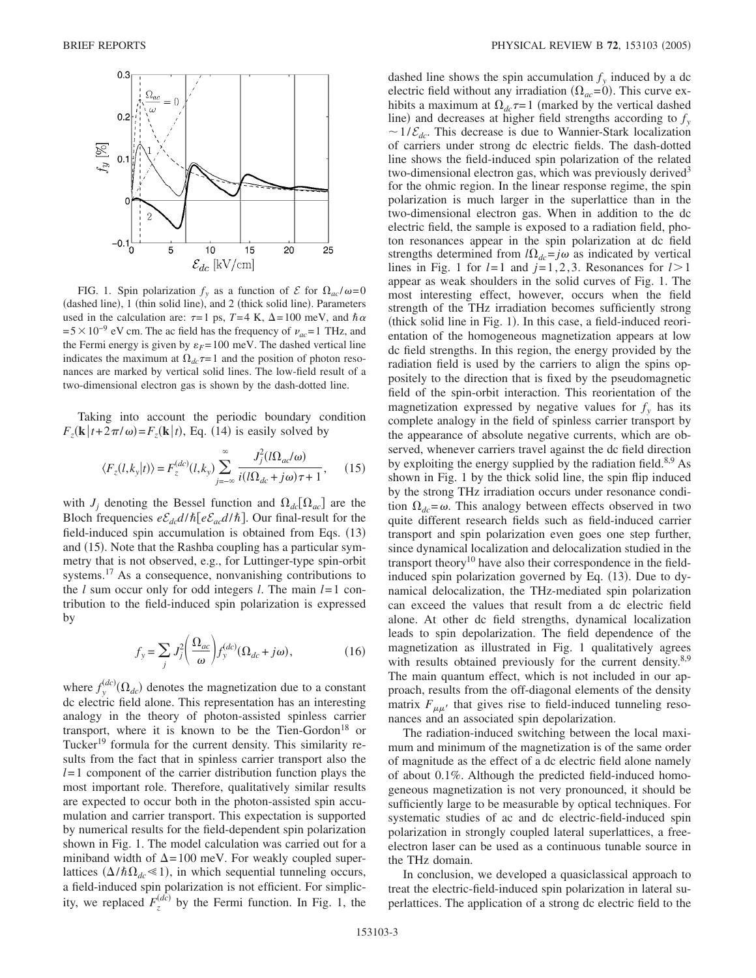

FIG. 1. Spin polarization  $f_y$  as a function of  $\mathcal E$  for  $\Omega_{ac}/\omega=0$ (dashed line), 1 (thin solid line), and 2 (thick solid line). Parameters used in the calculation are:  $\tau = 1$  ps,  $T = 4$  K,  $\Delta = 100$  meV, and  $\hbar \alpha$  $= 5 \times 10^{-9}$  eV cm. The ac field has the frequency of  $v_{ac} = 1$  THz, and the Fermi energy is given by  $\varepsilon_F$ = 100 meV. The dashed vertical line indicates the maximum at  $\Omega_{dc} \tau = 1$  and the position of photon resonances are marked by vertical solid lines. The low-field result of a two-dimensional electron gas is shown by the dash-dotted line.

Taking into account the periodic boundary condition  $F_z(\mathbf{k}|t+2\pi/\omega) = F_z(\mathbf{k}|t)$ , Eq. (14) is easily solved by

$$
\langle F_z(l,k_y|t) \rangle = F_z^{(dc)}(l,k_y) \sum_{j=-\infty}^{\infty} \frac{J_j^2(l\Omega_{ac}/\omega)}{i(l\Omega_{dc} + j\omega)\tau + 1},\qquad(15)
$$

with  $J_i$  denoting the Bessel function and  $\Omega_{dc}[\Omega_{ac}]$  are the Bloch frequencies  $e \mathcal{E}_{dc} d/\hbar [e \mathcal{E}_{ac} d/\hbar]$ . Our final-result for the field-induced spin accumulation is obtained from Eqs. (13) and (15). Note that the Rashba coupling has a particular symmetry that is not observed, e.g., for Luttinger-type spin-orbit systems.<sup>17</sup> As a consequence, nonvanishing contributions to the *l* sum occur only for odd integers *l*. The main *l*= 1 contribution to the field-induced spin polarization is expressed by

$$
f_{y} = \sum_{j} J_{j}^{2} \left( \frac{\Omega_{ac}}{\omega} \right) f_{y}^{(dc)} (\Omega_{dc} + j\omega), \qquad (16)
$$

where  $f_{y}^{(dc)}(\Omega_{dc})$  denotes the magnetization due to a constant dc electric field alone. This representation has an interesting analogy in the theory of photon-assisted spinless carrier transport, where it is known to be the Tien-Gordon<sup>18</sup> or Tucker<sup>19</sup> formula for the current density. This similarity results from the fact that in spinless carrier transport also the *l*= 1 component of the carrier distribution function plays the most important role. Therefore, qualitatively similar results are expected to occur both in the photon-assisted spin accumulation and carrier transport. This expectation is supported by numerical results for the field-dependent spin polarization shown in Fig. 1. The model calculation was carried out for a miniband width of  $\Delta = 100$  meV. For weakly coupled superlattices  $(\Delta/\hbar\Omega_{dc} \le 1)$ , in which sequential tunneling occurs, a field-induced spin polarization is not efficient. For simplicity, we replaced  $F_z^{(dc)}$  by the Fermi function. In Fig. 1, the

dashed line shows the spin accumulation  $f<sub>v</sub>$  induced by a dc electric field without any irradiation  $(\Omega_{ac} = 0)$ . This curve exhibits a maximum at  $\Omega_{dc} \tau = 1$  (marked by the vertical dashed line) and decreases at higher field strengths according to  $f_y$  $\sim 1/\mathcal{E}_{dc}$ . This decrease is due to Wannier-Stark localization of carriers under strong dc electric fields. The dash-dotted line shows the field-induced spin polarization of the related two-dimensional electron gas, which was previously derived<sup>3</sup> for the ohmic region. In the linear response regime, the spin polarization is much larger in the superlattice than in the two-dimensional electron gas. When in addition to the dc electric field, the sample is exposed to a radiation field, photon resonances appear in the spin polarization at dc field strengths determined from  $l\Omega_{dc} = j\omega$  as indicated by vertical lines in Fig. 1 for  $l=1$  and  $j=1,2,3$ . Resonances for  $l>1$ appear as weak shoulders in the solid curves of Fig. 1. The most interesting effect, however, occurs when the field strength of the THz irradiation becomes sufficiently strong (thick solid line in Fig. 1). In this case, a field-induced reorientation of the homogeneous magnetization appears at low dc field strengths. In this region, the energy provided by the radiation field is used by the carriers to align the spins oppositely to the direction that is fixed by the pseudomagnetic field of the spin-orbit interaction. This reorientation of the magnetization expressed by negative values for  $f<sub>y</sub>$  has its complete analogy in the field of spinless carrier transport by the appearance of absolute negative currents, which are observed, whenever carriers travel against the dc field direction by exploiting the energy supplied by the radiation field. $8,9$  As shown in Fig. 1 by the thick solid line, the spin flip induced by the strong THz irradiation occurs under resonance condition  $\Omega_{dc} = \omega$ . This analogy between effects observed in two quite different research fields such as field-induced carrier transport and spin polarization even goes one step further, since dynamical localization and delocalization studied in the transport theory<sup>10</sup> have also their correspondence in the fieldinduced spin polarization governed by Eq. (13). Due to dynamical delocalization, the THz-mediated spin polarization can exceed the values that result from a dc electric field alone. At other dc field strengths, dynamical localization leads to spin depolarization. The field dependence of the magnetization as illustrated in Fig. 1 qualitatively agrees with results obtained previously for the current density.<sup>8,9</sup> The main quantum effect, which is not included in our approach, results from the off-diagonal elements of the density matrix  $F_{\mu\mu'}$  that gives rise to field-induced tunneling resonances and an associated spin depolarization.

The radiation-induced switching between the local maximum and minimum of the magnetization is of the same order of magnitude as the effect of a dc electric field alone namely of about 0.1%. Although the predicted field-induced homogeneous magnetization is not very pronounced, it should be sufficiently large to be measurable by optical techniques. For systematic studies of ac and dc electric-field-induced spin polarization in strongly coupled lateral superlattices, a freeelectron laser can be used as a continuous tunable source in the THz domain.

In conclusion, we developed a quasiclassical approach to treat the electric-field-induced spin polarization in lateral superlattices. The application of a strong dc electric field to the